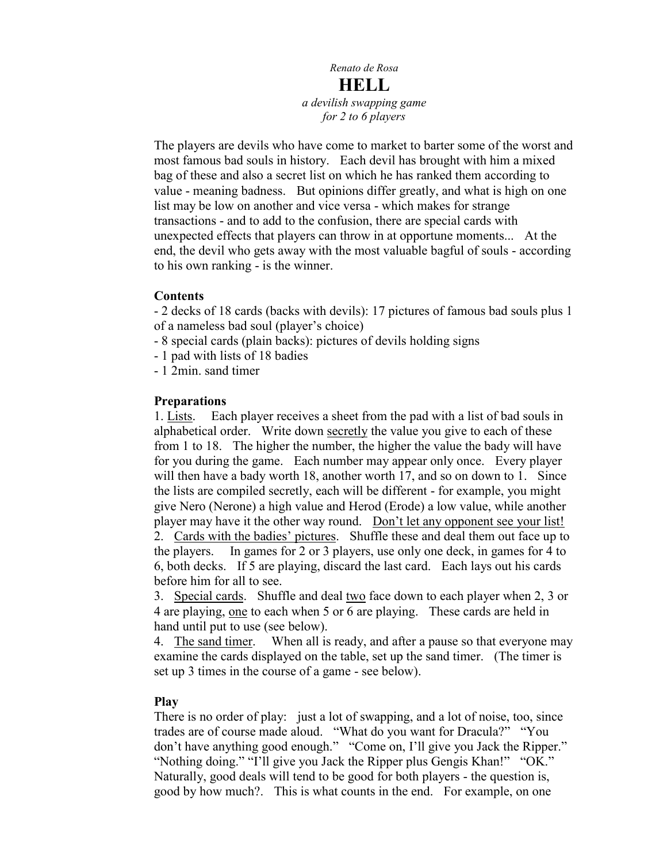# *Renato de Rosa* **HELL** *a devilish swapping game for 2 to 6 players*

The players are devils who have come to market to barter some of the worst and most famous bad souls in history. Each devil has brought with him a mixed bag of these and also a secret list on which he has ranked them according to value - meaning badness. But opinions differ greatly, and what is high on one list may be low on another and vice versa - which makes for strange transactions - and to add to the confusion, there are special cards with unexpected effects that players can throw in at opportune moments... At the end, the devil who gets away with the most valuable bagful of souls - according to his own ranking - is the winner.

## **Contents**

- 2 decks of 18 cards (backs with devils): 17 pictures of famous bad souls plus 1 of a nameless bad soul (player's choice)

- 8 special cards (plain backs): pictures of devils holding signs
- 1 pad with lists of 18 badies
- 1 2min. sand timer

## **Preparations**

1. Lists. Each player receives a sheet from the pad with a list of bad souls in alphabetical order. Write down secretly the value you give to each of these from 1 to 18. The higher the number, the higher the value the bady will have for you during the game. Each number may appear only once. Every player will then have a bady worth 18, another worth 17, and so on down to 1. Since the lists are compiled secretly, each will be different - for example, you might give Nero (Nerone) a high value and Herod (Erode) a low value, while another player may have it the other way round. Don't let any opponent see your list! 2. Cards with the badies' pictures. Shuffle these and deal them out face up to the players. In games for 2 or 3 players, use only one deck, in games for 4 to 6, both decks. If 5 are playing, discard the last card. Each lays out his cards before him for all to see.

3. Special cards. Shuffle and deal two face down to each player when 2, 3 or 4 are playing, one to each when 5 or 6 are playing. These cards are held in hand until put to use (see below).

4. The sand timer. When all is ready, and after a pause so that everyone may examine the cards displayed on the table, set up the sand timer. (The timer is set up 3 times in the course of a game - see below).

## **Play**

There is no order of play: just a lot of swapping, and a lot of noise, too, since trades are of course made aloud. "What do you want for Dracula?" "You don't have anything good enough." "Come on, I'll give you Jack the Ripper." "Nothing doing." "I'll give you Jack the Ripper plus Gengis Khan!" "OK." Naturally, good deals will tend to be good for both players - the question is, good by how much?. This is what counts in the end. For example, on one